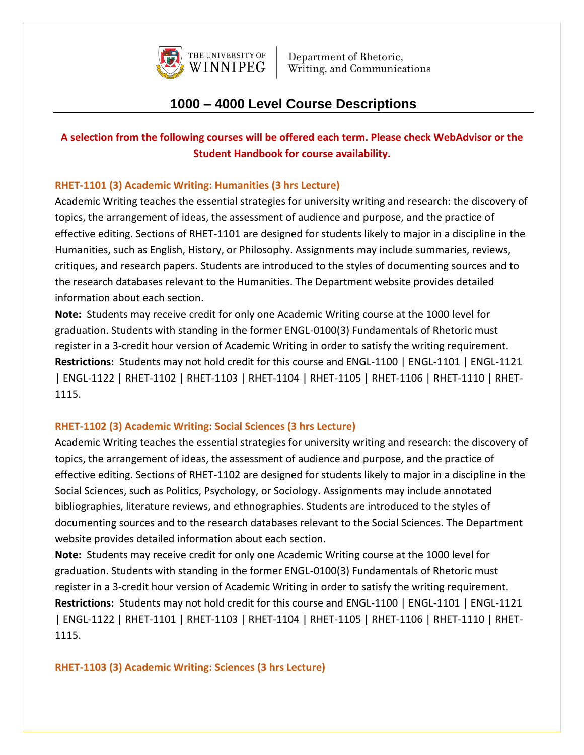

# **1000 – 4000 Level Course Descriptions**

## **A selection from the following courses will be offered each term. Please check WebAdvisor or the Student Handbook for course availability.**

### **RHET-1101 (3) Academic Writing: Humanities (3 hrs Lecture)**

Academic Writing teaches the essential strategies for university writing and research: the discovery of topics, the arrangement of ideas, the assessment of audience and purpose, and the practice of effective editing. Sections of RHET-1101 are designed for students likely to major in a discipline in the Humanities, such as English, History, or Philosophy. Assignments may include summaries, reviews, critiques, and research papers. Students are introduced to the styles of documenting sources and to the research databases relevant to the Humanities. The Department website provides detailed information about each section.

**Note:** Students may receive credit for only one Academic Writing course at the 1000 level for graduation. Students with standing in the former ENGL-0100(3) Fundamentals of Rhetoric must register in a 3-credit hour version of Academic Writing in order to satisfy the writing requirement. **Restrictions:** Students may not hold credit for this course and ENGL-1100 | ENGL-1101 | ENGL-1121 | ENGL-1122 | RHET-1102 | RHET-1103 | RHET-1104 | RHET-1105 | RHET-1106 | RHET-1110 | RHET-1115.

#### **RHET-1102 (3) Academic Writing: Social Sciences (3 hrs Lecture)**

Academic Writing teaches the essential strategies for university writing and research: the discovery of topics, the arrangement of ideas, the assessment of audience and purpose, and the practice of effective editing. Sections of RHET-1102 are designed for students likely to major in a discipline in the Social Sciences, such as Politics, Psychology, or Sociology. Assignments may include annotated bibliographies, literature reviews, and ethnographies. Students are introduced to the styles of documenting sources and to the research databases relevant to the Social Sciences. The Department website provides detailed information about each section.

**Note:** Students may receive credit for only one Academic Writing course at the 1000 level for graduation. Students with standing in the former ENGL-0100(3) Fundamentals of Rhetoric must register in a 3-credit hour version of Academic Writing in order to satisfy the writing requirement. **Restrictions:** Students may not hold credit for this course and ENGL-1100 | ENGL-1101 | ENGL-1121 | ENGL-1122 | RHET-1101 | RHET-1103 | RHET-1104 | RHET-1105 | RHET-1106 | RHET-1110 | RHET-1115.

**RHET-1103 (3) Academic Writing: Sciences (3 hrs Lecture)**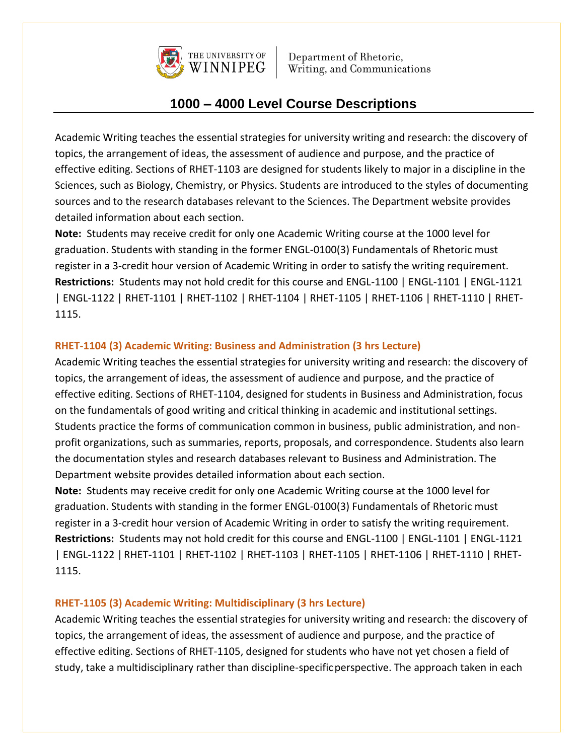

# **1000 – 4000 Level Course Descriptions**

Academic Writing teaches the essential strategies for university writing and research: the discovery of topics, the arrangement of ideas, the assessment of audience and purpose, and the practice of effective editing. Sections of RHET-1103 are designed for students likely to major in a discipline in the Sciences, such as Biology, Chemistry, or Physics. Students are introduced to the styles of documenting sources and to the research databases relevant to the Sciences. The Department website provides detailed information about each section.

**Note:** Students may receive credit for only one Academic Writing course at the 1000 level for graduation. Students with standing in the former ENGL-0100(3) Fundamentals of Rhetoric must register in a 3-credit hour version of Academic Writing in order to satisfy the writing requirement. **Restrictions:** Students may not hold credit for this course and ENGL-1100 | ENGL-1101 | ENGL-1121 | ENGL-1122 | RHET-1101 | RHET-1102 | RHET-1104 | RHET-1105 | RHET-1106 | RHET-1110 | RHET-1115.

## **RHET-1104 (3) Academic Writing: Business and Administration (3 hrs Lecture)**

Academic Writing teaches the essential strategies for university writing and research: the discovery of topics, the arrangement of ideas, the assessment of audience and purpose, and the practice of effective editing. Sections of RHET-1104, designed for students in Business and Administration, focus on the fundamentals of good writing and critical thinking in academic and institutional settings. Students practice the forms of communication common in business, public administration, and nonprofit organizations, such as summaries, reports, proposals, and correspondence. Students also learn the documentation styles and research databases relevant to Business and Administration. The Department website provides detailed information about each section.

**Note:** Students may receive credit for only one Academic Writing course at the 1000 level for graduation. Students with standing in the former ENGL-0100(3) Fundamentals of Rhetoric must register in a 3-credit hour version of Academic Writing in order to satisfy the writing requirement. **Restrictions:** Students may not hold credit for this course and ENGL-1100 | ENGL-1101 | ENGL-1121 | ENGL-1122 | RHET-1101 | RHET-1102 | RHET-1103 | RHET-1105 | RHET-1106 | RHET-1110 | RHET-1115.

#### **RHET-1105 (3) Academic Writing: Multidisciplinary (3 hrs Lecture)**

Academic Writing teaches the essential strategies for university writing and research: the discovery of topics, the arrangement of ideas, the assessment of audience and purpose, and the practice of effective editing. Sections of RHET-1105, designed for students who have not yet chosen a field of study, take a multidisciplinary rather than discipline-specificperspective. The approach taken in each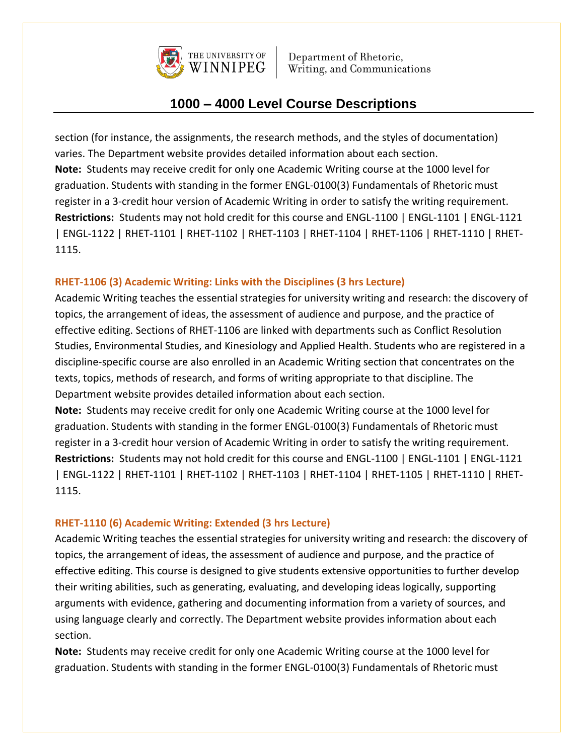

# **1000 – 4000 Level Course Descriptions**

section (for instance, the assignments, the research methods, and the styles of documentation) varies. The Department website provides detailed information about each section. **Note:** Students may receive credit for only one Academic Writing course at the 1000 level for graduation. Students with standing in the former ENGL-0100(3) Fundamentals of Rhetoric must register in a 3-credit hour version of Academic Writing in order to satisfy the writing requirement. **Restrictions:** Students may not hold credit for this course and ENGL-1100 | ENGL-1101 | ENGL-1121 | ENGL-1122 | RHET-1101 | RHET-1102 | RHET-1103 | RHET-1104 | RHET-1106 | RHET-1110 | RHET-1115.

### **RHET-1106 (3) Academic Writing: Links with the Disciplines (3 hrs Lecture)**

Academic Writing teaches the essential strategies for university writing and research: the discovery of topics, the arrangement of ideas, the assessment of audience and purpose, and the practice of effective editing. Sections of RHET-1106 are linked with departments such as Conflict Resolution Studies, Environmental Studies, and Kinesiology and Applied Health. Students who are registered in a discipline-specific course are also enrolled in an Academic Writing section that concentrates on the texts, topics, methods of research, and forms of writing appropriate to that discipline. The Department website provides detailed information about each section.

**Note:** Students may receive credit for only one Academic Writing course at the 1000 level for graduation. Students with standing in the former ENGL-0100(3) Fundamentals of Rhetoric must register in a 3-credit hour version of Academic Writing in order to satisfy the writing requirement. **Restrictions:** Students may not hold credit for this course and ENGL-1100 | ENGL-1101 | ENGL-1121 | ENGL-1122 | RHET-1101 | RHET-1102 | RHET-1103 | RHET-1104 | RHET-1105 | RHET-1110 | RHET-1115.

## **RHET-1110 (6) Academic Writing: Extended (3 hrs Lecture)**

Academic Writing teaches the essential strategies for university writing and research: the discovery of topics, the arrangement of ideas, the assessment of audience and purpose, and the practice of effective editing. This course is designed to give students extensive opportunities to further develop their writing abilities, such as generating, evaluating, and developing ideas logically, supporting arguments with evidence, gathering and documenting information from a variety of sources, and using language clearly and correctly. The Department website provides information about each section.

**Note:** Students may receive credit for only one Academic Writing course at the 1000 level for graduation. Students with standing in the former ENGL-0100(3) Fundamentals of Rhetoric must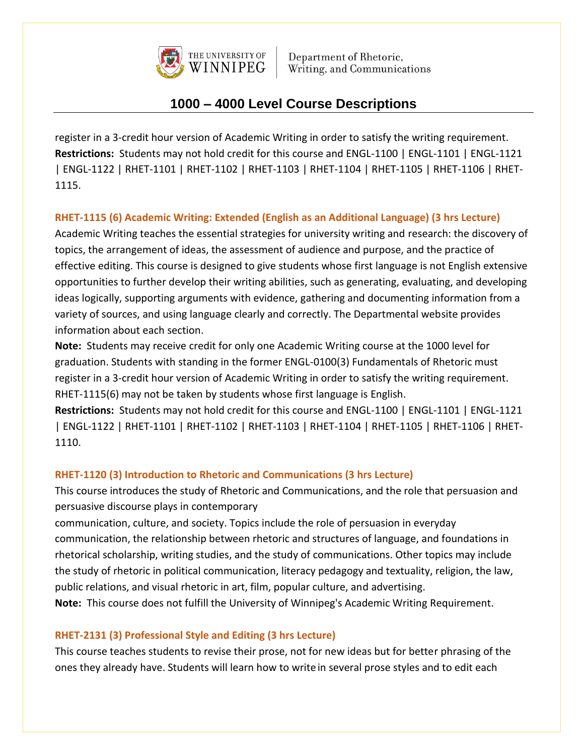

# **1000 – 4000 Level Course Descriptions**

register in a 3-credit hour version of Academic Writing in order to satisfy the writing requirement. **Restrictions:** Students may not hold credit for this course and ENGL-1100 | ENGL-1101 | ENGL-1121 | ENGL-1122 | RHET-1101 | RHET-1102 | RHET-1103 | RHET-1104 | RHET-1105 | RHET-1106 | RHET-1115.

## **RHET-1115 (6) Academic Writing: Extended (English as an Additional Language) (3 hrs Lecture)**

Academic Writing teaches the essential strategies for university writing and research: the discovery of topics, the arrangement of ideas, the assessment of audience and purpose, and the practice of effective editing. This course is designed to give students whose first language is not English extensive opportunities to further develop their writing abilities, such as generating, evaluating, and developing ideas logically, supporting arguments with evidence, gathering and documenting information from a variety of sources, and using language clearly and correctly. The Departmental website provides information about each section.

**Note:** Students may receive credit for only one Academic Writing course at the 1000 level for graduation. Students with standing in the former ENGL-0100(3) Fundamentals of Rhetoric must register in a 3-credit hour version of Academic Writing in order to satisfy the writing requirement. RHET-1115(6) may not be taken by students whose first language is English.

**Restrictions:** Students may not hold credit for this course and ENGL-1100 | ENGL-1101 | ENGL-1121 | ENGL-1122 | RHET-1101 | RHET-1102 | RHET-1103 | RHET-1104 | RHET-1105 | RHET-1106 | RHET-1110.

#### **RHET-1120 (3) Introduction to Rhetoric and Communications (3 hrs Lecture)**

This course introduces the study of Rhetoric and Communications, and the role that persuasion and persuasive discourse plays in contemporary

communication, culture, and society. Topics include the role of persuasion in everyday communication, the relationship between rhetoric and structures of language, and foundations in rhetorical scholarship, writing studies, and the study of communications. Other topics may include the study of rhetoric in political communication, literacy pedagogy and textuality, religion, the law, public relations, and visual rhetoric in art, film, popular culture, and advertising.

**Note:** This course does not fulfill the University of Winnipeg's Academic Writing Requirement.

## **RHET-2131 (3) Professional Style and Editing (3 hrs Lecture)**

This course teaches students to revise their prose, not for new ideas but for better phrasing of the ones they already have. Students will learn how to writein several prose styles and to edit each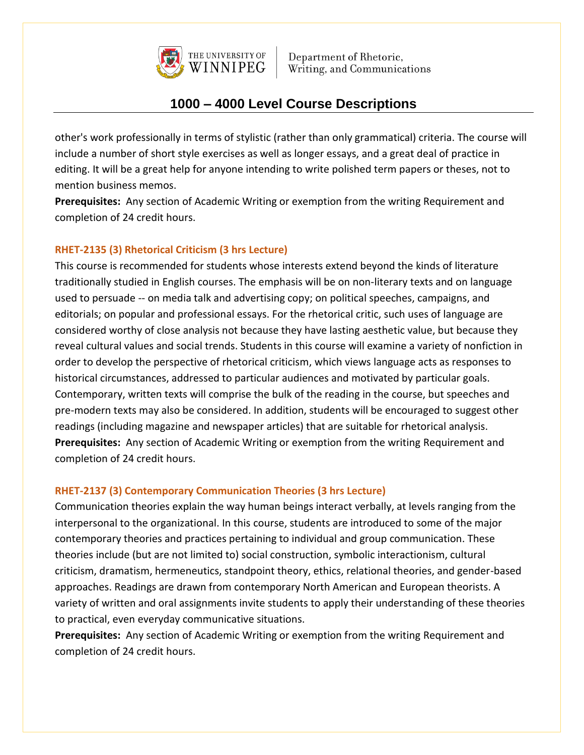

# **1000 – 4000 Level Course Descriptions**

other's work professionally in terms of stylistic (rather than only grammatical) criteria. The course will include a number of short style exercises as well as longer essays, and a great deal of practice in editing. It will be a great help for anyone intending to write polished term papers or theses, not to mention business memos.

**Prerequisites:** Any section of Academic Writing or exemption from the writing Requirement and completion of 24 credit hours.

### **RHET-2135 (3) Rhetorical Criticism (3 hrs Lecture)**

This course is recommended for students whose interests extend beyond the kinds of literature traditionally studied in English courses. The emphasis will be on non-literary texts and on language used to persuade -- on media talk and advertising copy; on political speeches, campaigns, and editorials; on popular and professional essays. For the rhetorical critic, such uses of language are considered worthy of close analysis not because they have lasting aesthetic value, but because they reveal cultural values and social trends. Students in this course will examine a variety of nonfiction in order to develop the perspective of rhetorical criticism, which views language acts as responses to historical circumstances, addressed to particular audiences and motivated by particular goals. Contemporary, written texts will comprise the bulk of the reading in the course, but speeches and pre-modern texts may also be considered. In addition, students will be encouraged to suggest other readings (including magazine and newspaper articles) that are suitable for rhetorical analysis. **Prerequisites:** Any section of Academic Writing or exemption from the writing Requirement and completion of 24 credit hours.

#### **RHET-2137 (3) Contemporary Communication Theories (3 hrs Lecture)**

Communication theories explain the way human beings interact verbally, at levels ranging from the interpersonal to the organizational. In this course, students are introduced to some of the major contemporary theories and practices pertaining to individual and group communication. These theories include (but are not limited to) social construction, symbolic interactionism, cultural criticism, dramatism, hermeneutics, standpoint theory, ethics, relational theories, and gender-based approaches. Readings are drawn from contemporary North American and European theorists. A variety of written and oral assignments invite students to apply their understanding of these theories to practical, even everyday communicative situations.

**Prerequisites:** Any section of Academic Writing or exemption from the writing Requirement and completion of 24 credit hours.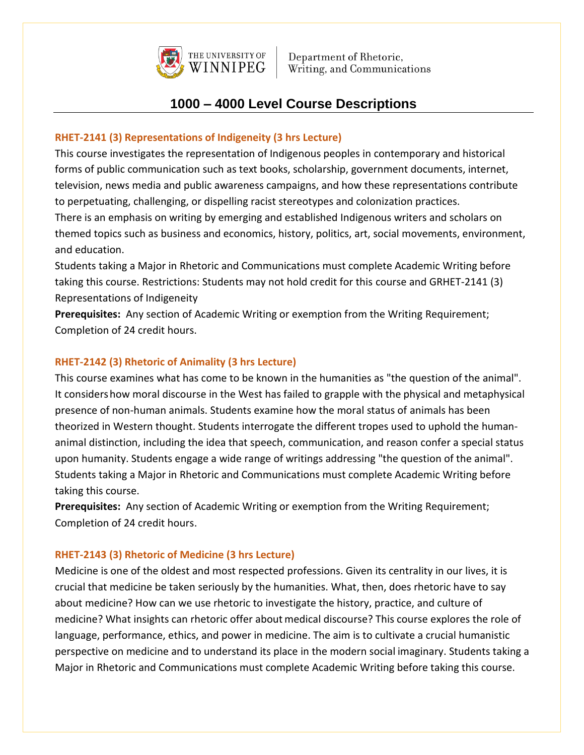

# **1000 – 4000 Level Course Descriptions**

### **RHET-2141 (3) Representations of Indigeneity (3 hrs Lecture)**

This course investigates the representation of Indigenous peoples in contemporary and historical forms of public communication such as text books, scholarship, government documents, internet, television, news media and public awareness campaigns, and how these representations contribute to perpetuating, challenging, or dispelling racist stereotypes and colonization practices.

There is an emphasis on writing by emerging and established Indigenous writers and scholars on themed topics such as business and economics, history, politics, art, social movements, environment, and education.

Students taking a Major in Rhetoric and Communications must complete Academic Writing before taking this course. Restrictions: Students may not hold credit for this course and GRHET-2141 (3) Representations of Indigeneity

**Prerequisites:** Any section of Academic Writing or exemption from the Writing Requirement; Completion of 24 credit hours.

### **RHET-2142 (3) Rhetoric of Animality (3 hrs Lecture)**

This course examines what has come to be known in the humanities as "the question of the animal". It considershow moral discourse in the West has failed to grapple with the physical and metaphysical presence of non-human animals. Students examine how the moral status of animals has been theorized in Western thought. Students interrogate the different tropes used to uphold the humananimal distinction, including the idea that speech, communication, and reason confer a special status upon humanity. Students engage a wide range of writings addressing "the question of the animal". Students taking a Major in Rhetoric and Communications must complete Academic Writing before taking this course.

**Prerequisites:** Any section of Academic Writing or exemption from the Writing Requirement; Completion of 24 credit hours.

## **RHET-2143 (3) Rhetoric of Medicine (3 hrs Lecture)**

Medicine is one of the oldest and most respected professions. Given its centrality in our lives, it is crucial that medicine be taken seriously by the humanities. What, then, does rhetoric have to say about medicine? How can we use rhetoric to investigate the history, practice, and culture of medicine? What insights can rhetoric offer aboutmedical discourse? This course explores the role of language, performance, ethics, and power in medicine. The aim is to cultivate a crucial humanistic perspective on medicine and to understand its place in the modern social imaginary. Students taking a Major in Rhetoric and Communications must complete Academic Writing before taking this course.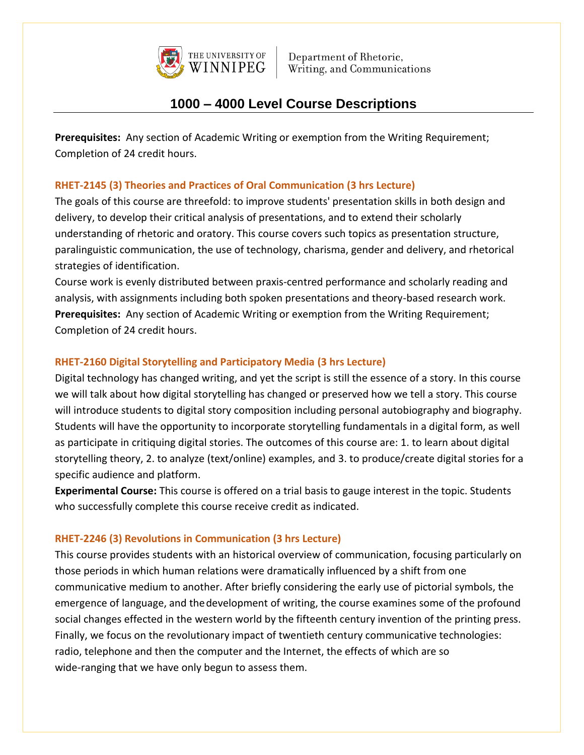

# **1000 – 4000 Level Course Descriptions**

**Prerequisites:** Any section of Academic Writing or exemption from the Writing Requirement; Completion of 24 credit hours.

## **RHET-2145 (3) Theories and Practices of Oral Communication (3 hrs Lecture)**

The goals of this course are threefold: to improve students' presentation skills in both design and delivery, to develop their critical analysis of presentations, and to extend their scholarly understanding of rhetoric and oratory. This course covers such topics as presentation structure, paralinguistic communication, the use of technology, charisma, gender and delivery, and rhetorical strategies of identification.

Course work is evenly distributed between praxis-centred performance and scholarly reading and analysis, with assignments including both spoken presentations and theory-based research work. **Prerequisites:** Any section of Academic Writing or exemption from the Writing Requirement; Completion of 24 credit hours.

## **RHET-2160 Digital Storytelling and Participatory Media (3 hrs Lecture)**

Digital technology has changed writing, and yet the script is still the essence of a story. In this course we will talk about how digital storytelling has changed or preserved how we tell a story. This course will introduce students to digital story composition including personal autobiography and biography. Students will have the opportunity to incorporate storytelling fundamentals in a digital form, as well as participate in critiquing digital stories. The outcomes of this course are: 1. to learn about digital storytelling theory, 2. to analyze (text/online) examples, and 3. to produce/create digital stories for a specific audience and platform.

**Experimental Course:** This course is offered on a trial basis to gauge interest in the topic. Students who successfully complete this course receive credit as indicated.

## **RHET-2246 (3) Revolutions in Communication (3 hrs Lecture)**

This course provides students with an historical overview of communication, focusing particularly on those periods in which human relations were dramatically influenced by a shift from one communicative medium to another. After briefly considering the early use of pictorial symbols, the emergence of language, and thedevelopment of writing, the course examines some of the profound social changes effected in the western world by the fifteenth century invention of the printing press. Finally, we focus on the revolutionary impact of twentieth century communicative technologies: radio, telephone and then the computer and the Internet, the effects of which are so wide-ranging that we have only begun to assess them.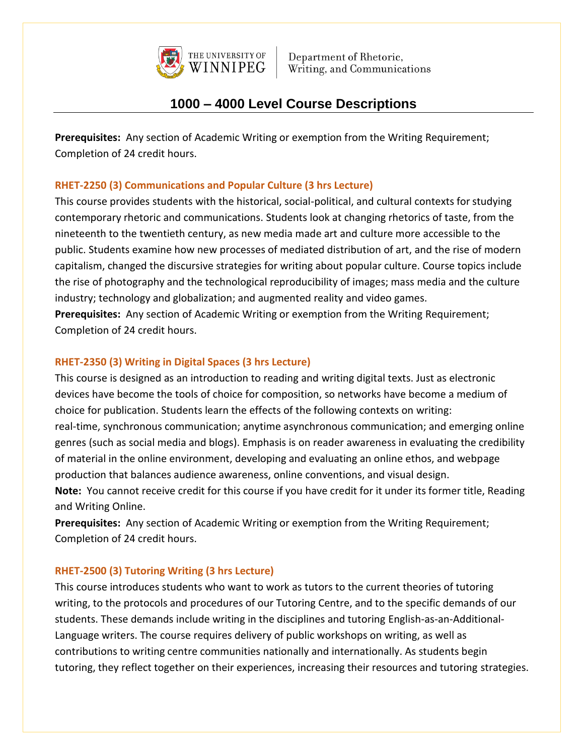

# **1000 – 4000 Level Course Descriptions**

**Prerequisites:** Any section of Academic Writing or exemption from the Writing Requirement; Completion of 24 credit hours.

## **RHET-2250 (3) Communications and Popular Culture (3 hrs Lecture)**

This course provides students with the historical, social-political, and cultural contexts forstudying contemporary rhetoric and communications. Students look at changing rhetorics of taste, from the nineteenth to the twentieth century, as new media made art and culture more accessible to the public. Students examine how new processes of mediated distribution of art, and the rise of modern capitalism, changed the discursive strategies for writing about popular culture. Course topics include the rise of photography and the technological reproducibility of images; mass media and the culture industry; technology and globalization; and augmented reality and video games.

**Prerequisites:** Any section of Academic Writing or exemption from the Writing Requirement; Completion of 24 credit hours.

#### **RHET-2350 (3) Writing in Digital Spaces (3 hrs Lecture)**

This course is designed as an introduction to reading and writing digital texts. Just as electronic devices have become the tools of choice for composition, so networks have become a medium of choice for publication. Students learn the effects of the following contexts on writing: real-time, synchronous communication; anytime asynchronous communication; and emerging online genres (such as social media and blogs). Emphasis is on reader awareness in evaluating the credibility of material in the online environment, developing and evaluating an online ethos, and webpage production that balances audience awareness, online conventions, and visual design. **Note:** You cannot receive credit for this course if you have credit for it under its former title, Reading and Writing Online.

**Prerequisites:** Any section of Academic Writing or exemption from the Writing Requirement; Completion of 24 credit hours.

## **RHET-2500 (3) Tutoring Writing (3 hrs Lecture)**

This course introduces students who want to work as tutors to the current theories of tutoring writing, to the protocols and procedures of our Tutoring Centre, and to the specific demands of our students. These demands include writing in the disciplines and tutoring English-as-an-Additional-Language writers. The course requires delivery of public workshops on writing, as well as contributions to writing centre communities nationally and internationally. As students begin tutoring, they reflect together on their experiences, increasing their resources and tutoring strategies.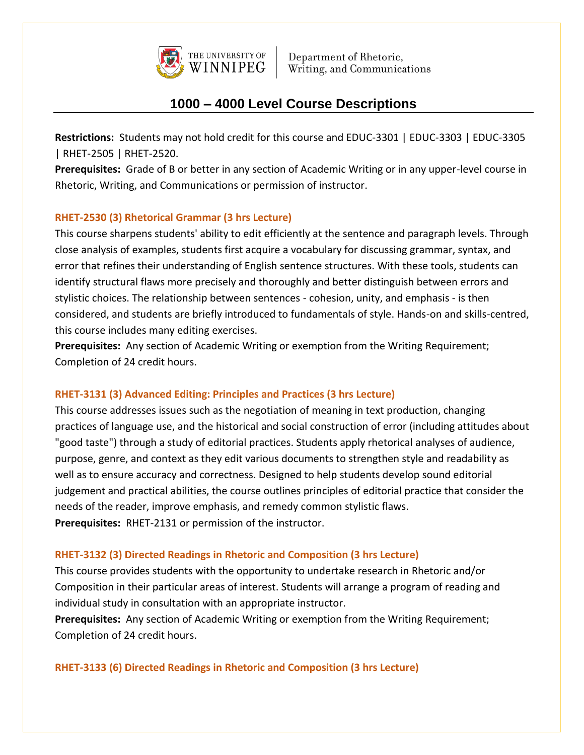

# **1000 – 4000 Level Course Descriptions**

**Restrictions:** Students may not hold credit for this course and EDUC-3301 | EDUC-3303 | EDUC-3305 | RHET-2505 | RHET-2520.

**Prerequisites:** Grade of B or better in any section of Academic Writing or in any upper-level course in Rhetoric, Writing, and Communications or permission of instructor.

### **RHET-2530 (3) Rhetorical Grammar (3 hrs Lecture)**

This course sharpens students' ability to edit efficiently at the sentence and paragraph levels. Through close analysis of examples, students first acquire a vocabulary for discussing grammar, syntax, and error that refines their understanding of English sentence structures. With these tools, students can identify structural flaws more precisely and thoroughly and better distinguish between errors and stylistic choices. The relationship between sentences - cohesion, unity, and emphasis - is then considered, and students are briefly introduced to fundamentals of style. Hands-on and skills-centred, this course includes many editing exercises.

**Prerequisites:** Any section of Academic Writing or exemption from the Writing Requirement; Completion of 24 credit hours.

#### **RHET-3131 (3) Advanced Editing: Principles and Practices (3 hrs Lecture)**

This course addresses issues such as the negotiation of meaning in text production, changing practices of language use, and the historical and social construction of error (including attitudes about "good taste") through a study of editorial practices. Students apply rhetorical analyses of audience, purpose, genre, and context as they edit various documents to strengthen style and readability as well as to ensure accuracy and correctness. Designed to help students develop sound editorial judgement and practical abilities, the course outlines principles of editorial practice that consider the needs of the reader, improve emphasis, and remedy common stylistic flaws. **Prerequisites:** RHET-2131 or permission of the instructor.

## **RHET-3132 (3) Directed Readings in Rhetoric and Composition (3 hrs Lecture)**

This course provides students with the opportunity to undertake research in Rhetoric and/or Composition in their particular areas of interest. Students will arrange a program of reading and individual study in consultation with an appropriate instructor.

**Prerequisites:** Any section of Academic Writing or exemption from the Writing Requirement; Completion of 24 credit hours.

#### **RHET-3133 (6) Directed Readings in Rhetoric and Composition (3 hrs Lecture)**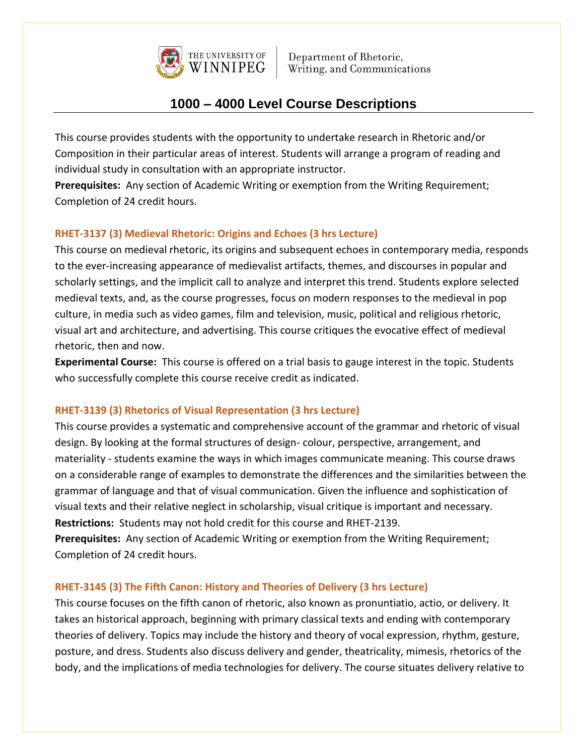

# **1000 – 4000 Level Course Descriptions**

This course provides students with the opportunity to undertake research in Rhetoric and/or Composition in their particular areas of interest. Students will arrange a program of reading and individual study in consultation with an appropriate instructor.

**Prerequisites:** Any section of Academic Writing or exemption from the Writing Requirement; Completion of 24 credit hours.

## **RHET-3137 (3) Medieval Rhetoric: Origins and Echoes (3 hrs Lecture)**

This course on medieval rhetoric, its origins and subsequent echoes in contemporary media, responds to the ever-increasing appearance of medievalist artifacts, themes, and discourses in popular and scholarly settings, and the implicit call to analyze and interpret this trend. Students explore selected medieval texts, and, as the course progresses, focus on modern responses to the medieval in pop culture, in media such as video games, film and television, music, political and religious rhetoric, visual art and architecture, and advertising. This course critiques the evocative effect of medieval rhetoric, then and now.

**Experimental Course:** This course is offered on a trial basis to gauge interest in the topic. Students who successfully complete this course receive credit as indicated.

#### **RHET-3139 (3) Rhetorics of Visual Representation (3 hrs Lecture)**

This course provides a systematic and comprehensive account of the grammar and rhetoric of visual design. By looking at the formal structures of design- colour, perspective, arrangement, and materiality - students examine the ways in which images communicate meaning. This course draws on a considerable range of examples to demonstrate the differences and the similarities between the grammar of language and that of visual communication. Given the influence and sophistication of visual texts and their relative neglect in scholarship, visual critique is important and necessary. **Restrictions:** Students may not hold credit for this course and RHET-2139.

**Prerequisites:** Any section of Academic Writing or exemption from the Writing Requirement; Completion of 24 credit hours.

#### **RHET-3145 (3) The Fifth Canon: History and Theories of Delivery (3 hrs Lecture)**

This course focuses on the fifth canon of rhetoric, also known as pronuntiatio, actio, or delivery. It takes an historical approach, beginning with primary classical texts and ending with contemporary theories of delivery. Topics may include the history and theory of vocal expression, rhythm, gesture, posture, and dress. Students also discuss delivery and gender, theatricality, mimesis, rhetorics of the body, and the implications of media technologies for delivery. The course situates delivery relative to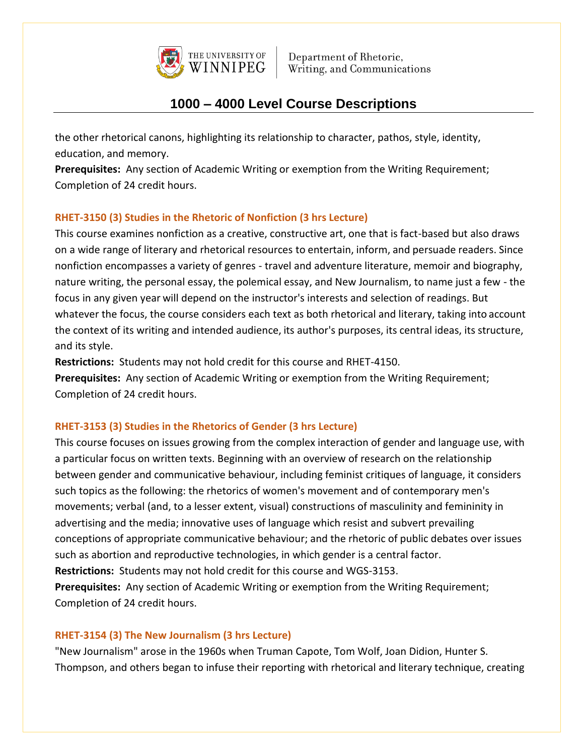

# **1000 – 4000 Level Course Descriptions**

the other rhetorical canons, highlighting its relationship to character, pathos, style, identity, education, and memory.

**Prerequisites:** Any section of Academic Writing or exemption from the Writing Requirement; Completion of 24 credit hours.

## **RHET-3150 (3) Studies in the Rhetoric of Nonfiction (3 hrs Lecture)**

This course examines nonfiction as a creative, constructive art, one that is fact-based but also draws on a wide range of literary and rhetorical resources to entertain, inform, and persuade readers. Since nonfiction encompasses a variety of genres - travel and adventure literature, memoir and biography, nature writing, the personal essay, the polemical essay, and New Journalism, to name just a few - the focus in any given year will depend on the instructor's interests and selection of readings. But whatever the focus, the course considers each text as both rhetorical and literary, taking into account the context of its writing and intended audience, its author's purposes, its central ideas, its structure, and its style.

**Restrictions:** Students may not hold credit for this course and RHET-4150.

**Prerequisites:** Any section of Academic Writing or exemption from the Writing Requirement; Completion of 24 credit hours.

## **RHET-3153 (3) Studies in the Rhetorics of Gender (3 hrs Lecture)**

This course focuses on issues growing from the complex interaction of gender and language use, with a particular focus on written texts. Beginning with an overview of research on the relationship between gender and communicative behaviour, including feminist critiques of language, it considers such topics as the following: the rhetorics of women's movement and of contemporary men's movements; verbal (and, to a lesser extent, visual) constructions of masculinity and femininity in advertising and the media; innovative uses of language which resist and subvert prevailing conceptions of appropriate communicative behaviour; and the rhetoric of public debates over issues such as abortion and reproductive technologies, in which gender is a central factor. **Restrictions:** Students may not hold credit for this course and WGS-3153. **Prerequisites:** Any section of Academic Writing or exemption from the Writing Requirement; Completion of 24 credit hours.

## **RHET-3154 (3) The New Journalism (3 hrs Lecture)**

"New Journalism" arose in the 1960s when Truman Capote, Tom Wolf, Joan Didion, Hunter S. Thompson, and others began to infuse their reporting with rhetorical and literary technique, creating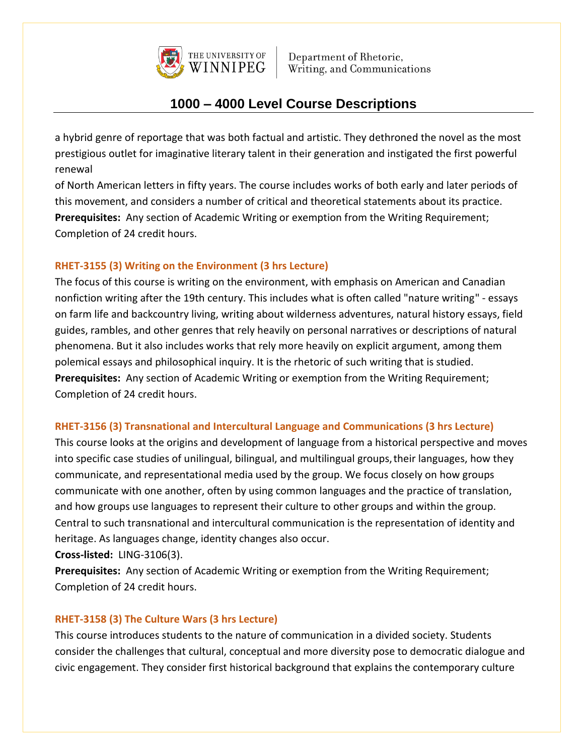

# **1000 – 4000 Level Course Descriptions**

a hybrid genre of reportage that was both factual and artistic. They dethroned the novel as the most prestigious outlet for imaginative literary talent in their generation and instigated the first powerful renewal

of North American letters in fifty years. The course includes works of both early and later periods of this movement, and considers a number of critical and theoretical statements about its practice. **Prerequisites:** Any section of Academic Writing or exemption from the Writing Requirement; Completion of 24 credit hours.

## **RHET-3155 (3) Writing on the Environment (3 hrs Lecture)**

The focus of this course is writing on the environment, with emphasis on American and Canadian nonfiction writing after the 19th century. This includes what is often called "nature writing" - essays on farm life and backcountry living, writing about wilderness adventures, natural history essays, field guides, rambles, and other genres that rely heavily on personal narratives or descriptions of natural phenomena. But it also includes works that rely more heavily on explicit argument, among them polemical essays and philosophical inquiry. It is the rhetoric of such writing that is studied. **Prerequisites:** Any section of Academic Writing or exemption from the Writing Requirement; Completion of 24 credit hours.

## **RHET-3156 (3) Transnational and Intercultural Language and Communications (3 hrs Lecture)**

This course looks at the origins and development of language from a historical perspective and moves into specific case studies of unilingual, bilingual, and multilingual groups,their languages, how they communicate, and representational media used by the group. We focus closely on how groups communicate with one another, often by using common languages and the practice of translation, and how groups use languages to represent their culture to other groups and within the group. Central to such transnational and intercultural communication is the representation of identity and heritage. As languages change, identity changes also occur.

**Cross-listed:** LING-3106(3).

**Prerequisites:** Any section of Academic Writing or exemption from the Writing Requirement; Completion of 24 credit hours.

## **RHET-3158 (3) The Culture Wars (3 hrs Lecture)**

This course introduces students to the nature of communication in a divided society. Students consider the challenges that cultural, conceptual and more diversity pose to democratic dialogue and civic engagement. They consider first historical background that explains the contemporary culture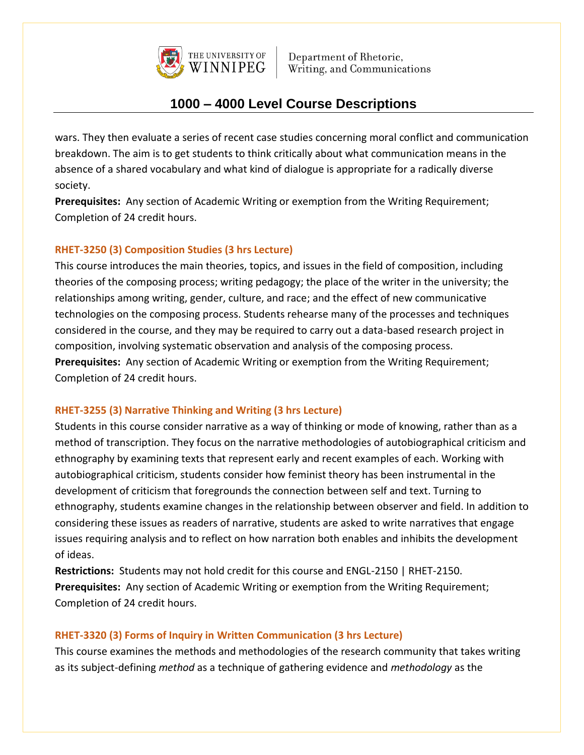

# **1000 – 4000 Level Course Descriptions**

wars. They then evaluate a series of recent case studies concerning moral conflict and communication breakdown. The aim is to get students to think critically about what communication means in the absence of a shared vocabulary and what kind of dialogue is appropriate for a radically diverse society.

**Prerequisites:** Any section of Academic Writing or exemption from the Writing Requirement; Completion of 24 credit hours.

#### **RHET-3250 (3) Composition Studies (3 hrs Lecture)**

This course introduces the main theories, topics, and issues in the field of composition, including theories of the composing process; writing pedagogy; the place of the writer in the university; the relationships among writing, gender, culture, and race; and the effect of new communicative technologies on the composing process. Students rehearse many of the processes and techniques considered in the course, and they may be required to carry out a data-based research project in composition, involving systematic observation and analysis of the composing process. **Prerequisites:** Any section of Academic Writing or exemption from the Writing Requirement; Completion of 24 credit hours.

#### **RHET-3255 (3) Narrative Thinking and Writing (3 hrs Lecture)**

Students in this course consider narrative as a way of thinking or mode of knowing, rather than as a method of transcription. They focus on the narrative methodologies of autobiographical criticism and ethnography by examining texts that represent early and recent examples of each. Working with autobiographical criticism, students consider how feminist theory has been instrumental in the development of criticism that foregrounds the connection between self and text. Turning to ethnography, students examine changes in the relationship between observer and field. In addition to considering these issues as readers of narrative, students are asked to write narratives that engage issues requiring analysis and to reflect on how narration both enables and inhibits the development of ideas.

**Restrictions:** Students may not hold credit for this course and ENGL-2150 | RHET-2150. **Prerequisites:** Any section of Academic Writing or exemption from the Writing Requirement; Completion of 24 credit hours.

## **RHET-3320 (3) Forms of Inquiry in Written Communication (3 hrs Lecture)**

This course examines the methods and methodologies of the research community that takes writing as its subject-defining *method* as a technique of gathering evidence and *methodology* as the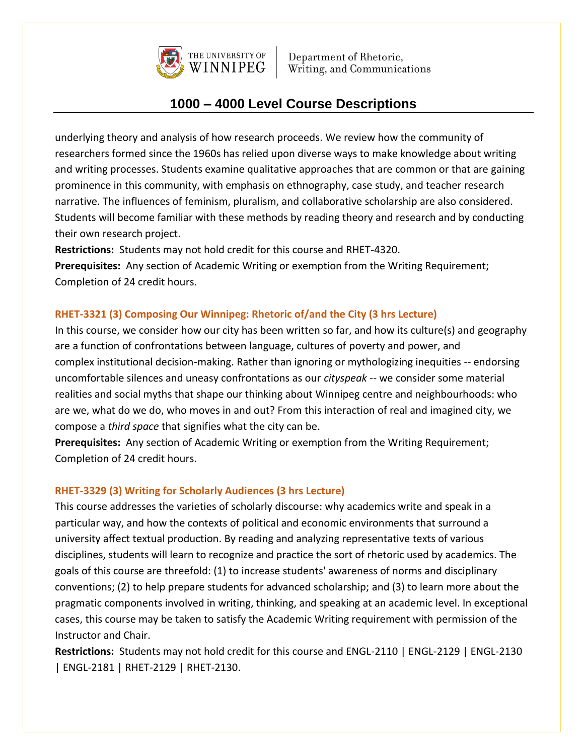

## **1000 – 4000 Level Course Descriptions**

underlying theory and analysis of how research proceeds. We review how the community of researchers formed since the 1960s has relied upon diverse ways to make knowledge about writing and writing processes. Students examine qualitative approaches that are common or that are gaining prominence in this community, with emphasis on ethnography, case study, and teacher research narrative. The influences of feminism, pluralism, and collaborative scholarship are also considered. Students will become familiar with these methods by reading theory and research and by conducting their own research project.

**Restrictions:** Students may not hold credit for this course and RHET-4320.

**Prerequisites:** Any section of Academic Writing or exemption from the Writing Requirement; Completion of 24 credit hours.

## **RHET-3321 (3) Composing Our Winnipeg: Rhetoric of/and the City (3 hrs Lecture)**

In this course, we consider how our city has been written so far, and how its culture(s) and geography are a function of confrontations between language, cultures of poverty and power, and complex institutional decision-making. Rather than ignoring or mythologizing inequities -- endorsing uncomfortable silences and uneasy confrontations as our *cityspeak* -- we consider some material realities and social myths that shape our thinking about Winnipeg centre and neighbourhoods: who are we, what do we do, who moves in and out? From this interaction of real and imagined city, we compose a *third space* that signifies what the city can be.

**Prerequisites:** Any section of Academic Writing or exemption from the Writing Requirement; Completion of 24 credit hours.

#### **RHET-3329 (3) Writing for Scholarly Audiences (3 hrs Lecture)**

This course addresses the varieties of scholarly discourse: why academics write and speak in a particular way, and how the contexts of political and economic environments that surround a university affect textual production. By reading and analyzing representative texts of various disciplines, students will learn to recognize and practice the sort of rhetoric used by academics. The goals of this course are threefold: (1) to increase students' awareness of norms and disciplinary conventions; (2) to help prepare students for advanced scholarship; and (3) to learn more about the pragmatic components involved in writing, thinking, and speaking at an academic level. In exceptional cases, this course may be taken to satisfy the Academic Writing requirement with permission of the Instructor and Chair.

**Restrictions:** Students may not hold credit for this course and ENGL-2110 | ENGL-2129 | ENGL-2130 | ENGL-2181 | RHET-2129 | RHET-2130.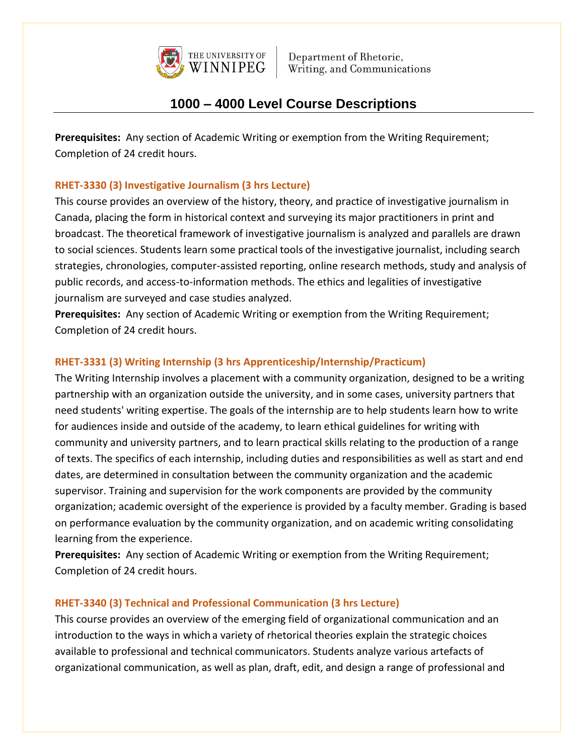

# **1000 – 4000 Level Course Descriptions**

**Prerequisites:** Any section of Academic Writing or exemption from the Writing Requirement; Completion of 24 credit hours.

### **RHET-3330 (3) Investigative Journalism (3 hrs Lecture)**

This course provides an overview of the history, theory, and practice of investigative journalism in Canada, placing the form in historical context and surveying its major practitioners in print and broadcast. The theoretical framework of investigative journalism is analyzed and parallels are drawn to social sciences. Students learn some practical tools of the investigative journalist, including search strategies, chronologies, computer-assisted reporting, online research methods, study and analysis of public records, and access-to-information methods. The ethics and legalities of investigative journalism are surveyed and case studies analyzed.

**Prerequisites:** Any section of Academic Writing or exemption from the Writing Requirement; Completion of 24 credit hours.

### **RHET-3331 (3) Writing Internship (3 hrs Apprenticeship/Internship/Practicum)**

The Writing Internship involves a placement with a community organization, designed to be a writing partnership with an organization outside the university, and in some cases, university partners that need students' writing expertise. The goals of the internship are to help students learn how to write for audiences inside and outside of the academy, to learn ethical guidelines for writing with community and university partners, and to learn practical skills relating to the production of a range of texts. The specifics of each internship, including duties and responsibilities as well as start and end dates, are determined in consultation between the community organization and the academic supervisor. Training and supervision for the work components are provided by the community organization; academic oversight of the experience is provided by a faculty member. Grading is based on performance evaluation by the community organization, and on academic writing consolidating learning from the experience.

**Prerequisites:** Any section of Academic Writing or exemption from the Writing Requirement; Completion of 24 credit hours.

#### **RHET-3340 (3) Technical and Professional Communication (3 hrs Lecture)**

This course provides an overview of the emerging field of organizational communication and an introduction to the ways in which a variety of rhetorical theories explain the strategic choices available to professional and technical communicators. Students analyze various artefacts of organizational communication, as well as plan, draft, edit, and design a range of professional and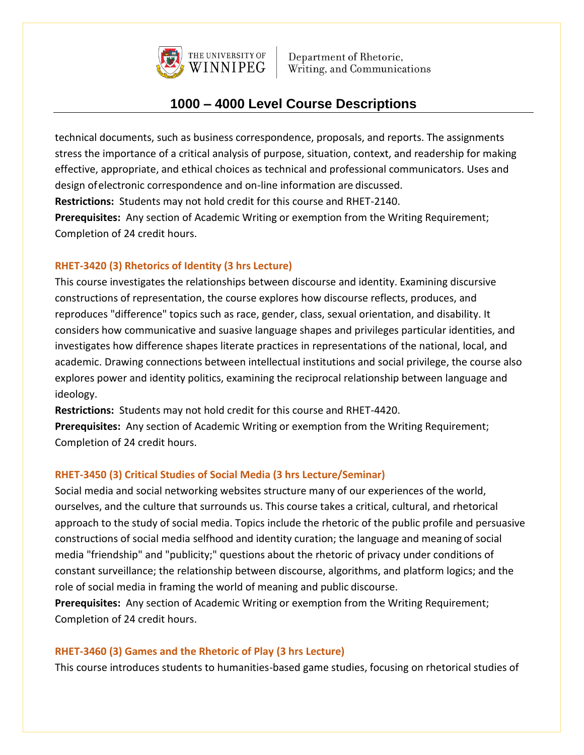

# **1000 – 4000 Level Course Descriptions**

technical documents, such as business correspondence, proposals, and reports. The assignments stress the importance of a critical analysis of purpose, situation, context, and readership for making effective, appropriate, and ethical choices as technical and professional communicators. Uses and design ofelectronic correspondence and on-line information are discussed. **Restrictions:** Students may not hold credit for this course and RHET-2140.

**Prerequisites:** Any section of Academic Writing or exemption from the Writing Requirement; Completion of 24 credit hours.

### **RHET-3420 (3) Rhetorics of Identity (3 hrs Lecture)**

This course investigates the relationships between discourse and identity. Examining discursive constructions of representation, the course explores how discourse reflects, produces, and reproduces "difference" topics such as race, gender, class, sexual orientation, and disability. It considers how communicative and suasive language shapes and privileges particular identities, and investigates how difference shapes literate practices in representations of the national, local, and academic. Drawing connections between intellectual institutions and social privilege, the course also explores power and identity politics, examining the reciprocal relationship between language and ideology.

**Restrictions:** Students may not hold credit for this course and RHET-4420.

**Prerequisites:** Any section of Academic Writing or exemption from the Writing Requirement; Completion of 24 credit hours.

## **RHET-3450 (3) Critical Studies of Social Media (3 hrs Lecture/Seminar)**

Social media and social networking websites structure many of our experiences of the world, ourselves, and the culture that surrounds us. This course takes a critical, cultural, and rhetorical approach to the study of social media. Topics include the rhetoric of the public profile and persuasive constructions of social media selfhood and identity curation; the language and meaning of social media "friendship" and "publicity;" questions about the rhetoric of privacy under conditions of constant surveillance; the relationship between discourse, algorithms, and platform logics; and the role of social media in framing the world of meaning and public discourse.

**Prerequisites:** Any section of Academic Writing or exemption from the Writing Requirement; Completion of 24 credit hours.

#### **RHET-3460 (3) Games and the Rhetoric of Play (3 hrs Lecture)**

This course introduces students to humanities-based game studies, focusing on rhetorical studies of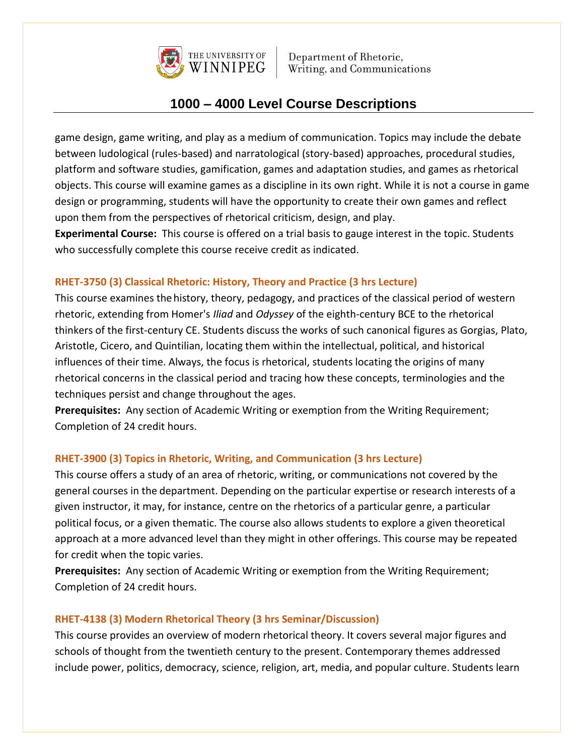

# **1000 – 4000 Level Course Descriptions**

game design, game writing, and play as a medium of communication. Topics may include the debate between ludological (rules-based) and narratological (story-based) approaches, procedural studies, platform and software studies, gamification, games and adaptation studies, and games as rhetorical objects. This course will examine games as a discipline in its own right. While it is not a course in game design or programming, students will have the opportunity to create their own games and reflect upon them from the perspectives of rhetorical criticism, design, and play.

**Experimental Course:** This course is offered on a trial basis to gauge interest in the topic. Students who successfully complete this course receive credit as indicated.

### **RHET-3750 (3) Classical Rhetoric: History, Theory and Practice (3 hrs Lecture)**

This course examines the history, theory, pedagogy, and practices of the classical period of western rhetoric, extending from Homer's *Iliad* and *Odyssey* of the eighth-century BCE to the rhetorical thinkers of the first-century CE. Students discuss the works of such canonical figures as Gorgias, Plato, Aristotle, Cicero, and Quintilian, locating them within the intellectual, political, and historical influences of their time. Always, the focus is rhetorical, students locating the origins of many rhetorical concerns in the classical period and tracing how these concepts, terminologies and the techniques persist and change throughout the ages.

**Prerequisites:** Any section of Academic Writing or exemption from the Writing Requirement; Completion of 24 credit hours.

## **RHET-3900 (3) Topics in Rhetoric, Writing, and Communication (3 hrs Lecture)**

This course offers a study of an area of rhetoric, writing, or communications not covered by the general courses in the department. Depending on the particular expertise or research interests of a given instructor, it may, for instance, centre on the rhetorics of a particular genre, a particular political focus, or a given thematic. The course also allows students to explore a given theoretical approach at a more advanced level than they might in other offerings. This course may be repeated for credit when the topic varies.

**Prerequisites:** Any section of Academic Writing or exemption from the Writing Requirement; Completion of 24 credit hours.

## **RHET-4138 (3) Modern Rhetorical Theory (3 hrs Seminar/Discussion)**

This course provides an overview of modern rhetorical theory. It covers several major figures and schools of thought from the twentieth century to the present. Contemporary themes addressed include power, politics, democracy, science, religion, art, media, and popular culture. Students learn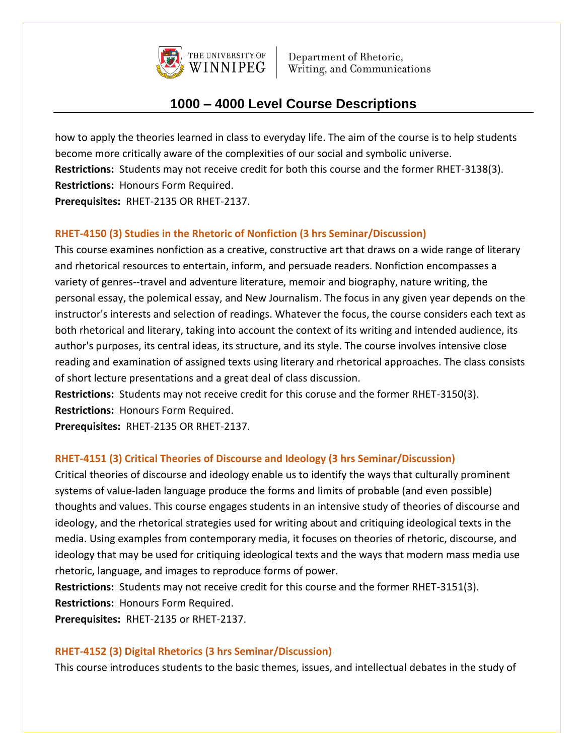

# **1000 – 4000 Level Course Descriptions**

how to apply the theories learned in class to everyday life. The aim of the course is to help students become more critically aware of the complexities of our social and symbolic universe. **Restrictions:** Students may not receive credit for both this course and the former RHET-3138(3). **Restrictions:** Honours Form Required. **Prerequisites:** RHET-2135 OR RHET-2137.

## **RHET-4150 (3) Studies in the Rhetoric of Nonfiction (3 hrs Seminar/Discussion)**

This course examines nonfiction as a creative, constructive art that draws on a wide range of literary and rhetorical resources to entertain, inform, and persuade readers. Nonfiction encompasses a variety of genres--travel and adventure literature, memoir and biography, nature writing, the personal essay, the polemical essay, and New Journalism. The focus in any given year depends on the instructor's interests and selection of readings. Whatever the focus, the course considers each text as both rhetorical and literary, taking into account the context of its writing and intended audience, its author's purposes, its central ideas, its structure, and its style. The course involves intensive close reading and examination of assigned texts using literary and rhetorical approaches. The class consists of short lecture presentations and a great deal of class discussion.

**Restrictions:** Students may not receive credit for this coruse and the former RHET-3150(3). **Restrictions:** Honours Form Required.

**Prerequisites:** RHET-2135 OR RHET-2137.

#### **RHET-4151 (3) Critical Theories of Discourse and Ideology (3 hrs Seminar/Discussion)**

Critical theories of discourse and ideology enable us to identify the ways that culturally prominent systems of value-laden language produce the forms and limits of probable (and even possible) thoughts and values. This course engages students in an intensive study of theories of discourse and ideology, and the rhetorical strategies used for writing about and critiquing ideological texts in the media. Using examples from contemporary media, it focuses on theories of rhetoric, discourse, and ideology that may be used for critiquing ideological texts and the ways that modern mass media use rhetoric, language, and images to reproduce forms of power.

**Restrictions:** Students may not receive credit for this course and the former RHET-3151(3). **Restrictions:** Honours Form Required.

**Prerequisites:** RHET-2135 or RHET-2137.

#### **RHET-4152 (3) Digital Rhetorics (3 hrs Seminar/Discussion)**

This course introduces students to the basic themes, issues, and intellectual debates in the study of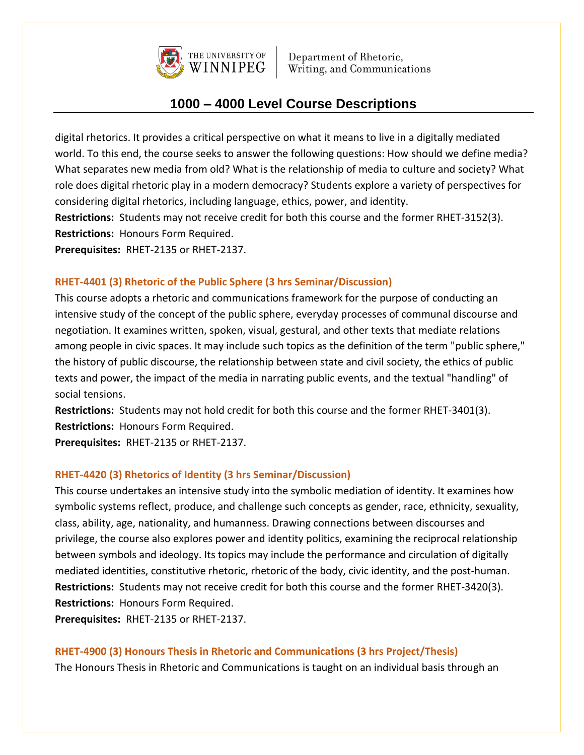

# **1000 – 4000 Level Course Descriptions**

digital rhetorics. It provides a critical perspective on what it means to live in a digitally mediated world. To this end, the course seeks to answer the following questions: How should we define media? What separates new media from old? What is the relationship of media to culture and society? What role does digital rhetoric play in a modern democracy? Students explore a variety of perspectives for considering digital rhetorics, including language, ethics, power, and identity.

**Restrictions:** Students may not receive credit for both this course and the former RHET-3152(3). **Restrictions:** Honours Form Required.

**Prerequisites:** RHET-2135 or RHET-2137.

### **RHET-4401 (3) Rhetoric of the Public Sphere (3 hrs Seminar/Discussion)**

This course adopts a rhetoric and communications framework for the purpose of conducting an intensive study of the concept of the public sphere, everyday processes of communal discourse and negotiation. It examines written, spoken, visual, gestural, and other texts that mediate relations among people in civic spaces. It may include such topics as the definition of the term "public sphere," the history of public discourse, the relationship between state and civil society, the ethics of public texts and power, the impact of the media in narrating public events, and the textual "handling" of social tensions.

**Restrictions:** Students may not hold credit for both this course and the former RHET-3401(3). **Restrictions:** Honours Form Required.

**Prerequisites:** RHET-2135 or RHET-2137.

#### **RHET-4420 (3) Rhetorics of Identity (3 hrs Seminar/Discussion)**

This course undertakes an intensive study into the symbolic mediation of identity. It examines how symbolic systems reflect, produce, and challenge such concepts as gender, race, ethnicity, sexuality, class, ability, age, nationality, and humanness. Drawing connections between discourses and privilege, the course also explores power and identity politics, examining the reciprocal relationship between symbols and ideology. Its topics may include the performance and circulation of digitally mediated identities, constitutive rhetoric, rhetoric of the body, civic identity, and the post-human. **Restrictions:** Students may not receive credit for both this course and the former RHET-3420(3). **Restrictions:** Honours Form Required.

**Prerequisites:** RHET-2135 or RHET-2137.

#### **RHET-4900 (3) Honours Thesis in Rhetoric and Communications (3 hrs Project/Thesis)**

The Honours Thesis in Rhetoric and Communications is taught on an individual basis through an